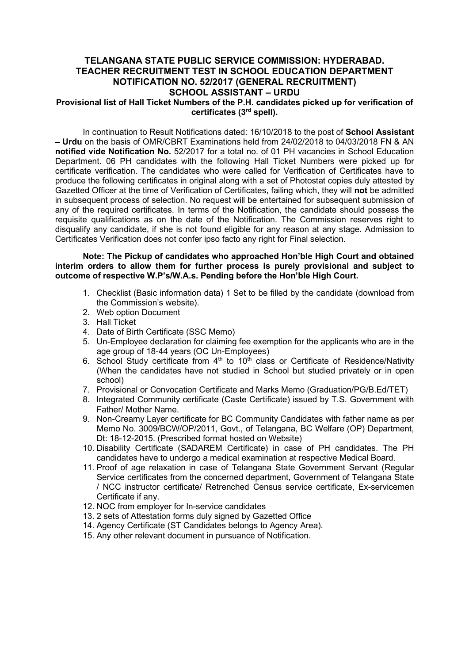# TELANGANA STATE PUBLIC SERVICE COMMISSION: HYDERABAD. TEACHER RECRUITMENT TEST IN SCHOOL EDUCATION DEPARTMENT NOTIFICATION NO. 52/2017 (GENERAL RECRUITMENT) SCHOOL ASSISTANT – URDU

## Provisional list of Hall Ticket Numbers of the P.H. candidates picked up for verification of certificates (3rd spell).

In continuation to Result Notifications dated: 16/10/2018 to the post of School Assistant – Urdu on the basis of OMR/CBRT Examinations held from 24/02/2018 to 04/03/2018 FN & AN notified vide Notification No. 52/2017 for a total no. of 01 PH vacancies in School Education Department. 06 PH candidates with the following Hall Ticket Numbers were picked up for certificate verification. The candidates who were called for Verification of Certificates have to produce the following certificates in original along with a set of Photostat copies duly attested by Gazetted Officer at the time of Verification of Certificates, failing which, they will not be admitted in subsequent process of selection. No request will be entertained for subsequent submission of any of the required certificates. In terms of the Notification, the candidate should possess the requisite qualifications as on the date of the Notification. The Commission reserves right to disqualify any candidate, if she is not found eligible for any reason at any stage. Admission to Certificates Verification does not confer ipso facto any right for Final selection.

### Note: The Pickup of candidates who approached Hon'ble High Court and obtained interim orders to allow them for further process is purely provisional and subject to outcome of respective W.P's/W.A.s. Pending before the Hon'ble High Court.

- 1. Checklist (Basic information data) 1 Set to be filled by the candidate (download from the Commission's website).
- 2. Web option Document
- 3. Hall Ticket
- 4. Date of Birth Certificate (SSC Memo)
- 5. Un-Employee declaration for claiming fee exemption for the applicants who are in the age group of 18-44 years (OC Un-Employees)
- 6. School Study certificate from  $4<sup>th</sup>$  to  $10<sup>th</sup>$  class or Certificate of Residence/Nativity (When the candidates have not studied in School but studied privately or in open school)
- 7. Provisional or Convocation Certificate and Marks Memo (Graduation/PG/B.Ed/TET)
- 8. Integrated Community certificate (Caste Certificate) issued by T.S. Government with Father/ Mother Name.
- 9. Non-Creamy Layer certificate for BC Community Candidates with father name as per Memo No. 3009/BCW/OP/2011, Govt., of Telangana, BC Welfare (OP) Department, Dt: 18-12-2015. (Prescribed format hosted on Website)
- 10. Disability Certificate (SADAREM Certificate) in case of PH candidates. The PH candidates have to undergo a medical examination at respective Medical Board.
- 11. Proof of age relaxation in case of Telangana State Government Servant (Regular Service certificates from the concerned department, Government of Telangana State / NCC instructor certificate/ Retrenched Census service certificate, Ex-servicemen Certificate if any.
- 12. NOC from employer for In-service candidates
- 13. 2 sets of Attestation forms duly signed by Gazetted Office
- 14. Agency Certificate (ST Candidates belongs to Agency Area).
- 15. Any other relevant document in pursuance of Notification.